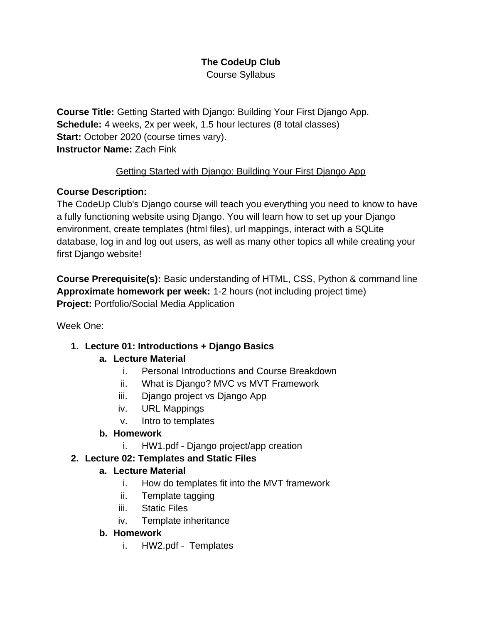# **The CodeUp Club**

Course Syllabus

**Course Title:** Getting Started with Django: Building Your First Django App. **Schedule:** 4 weeks, 2x per week, 1.5 hour lectures (8 total classes) **Start: October 2020 (course times vary). Instructor Name:** Zach Fink

#### Getting Started with Django: Building Your First Django App

#### **Course Description:**

The CodeUp Club's Django course will teach you everything you need to know to have a fully functioning website using Django. You will learn how to set up your Django environment, create templates (html files), url mappings, interact with a SQLite database, log in and log out users, as well as many other topics all while creating your first Django website!

**Course Prerequisite(s):** Basic understanding of HTML, CSS, Python & command line **Approximate homework per week:** 1-2 hours (not including project time) **Project:** Portfolio/Social Media Application

#### Week One:

#### **1. Lecture 01: Introductions + Django Basics**

#### **a. Lecture Material**

- i. Personal Introductions and Course Breakdown
- ii. What is Django? MVC vs MVT Framework
- iii. Django project vs Django App
- iv. URL Mappings
- v. Intro to templates

#### **b. Homework**

i. HW1.pdf - Django project/app creation

#### **2. Lecture 02: Templates and Static Files**

#### **a. Lecture Material**

- i. How do templates fit into the MVT framework
- ii. Template tagging
- iii. Static Files
- iv. Template inheritance

#### **b. Homework**

i. HW2.pdf - Templates